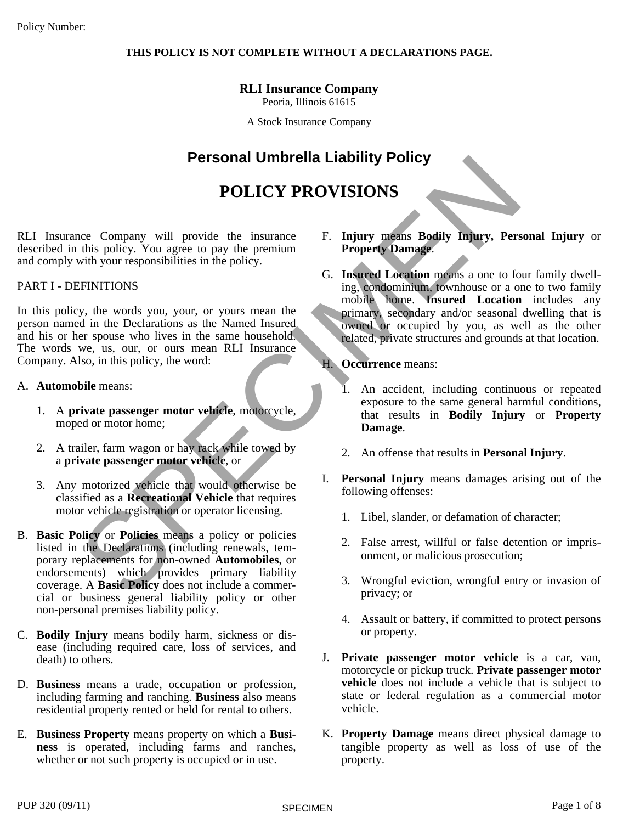#### **THIS POLICY IS NOT COMPLETE WITHOUT A DECLARATIONS PAGE.**

# **RLI Insurance Company**

Peoria, Illinois 61615

A Stock Insurance Company

# **Personal Umbrella Liability Policy**

# **POLICY PROVISIONS**

RLI Insurance Company will provide the insurance described in this policy. You agree to pay the premium and comply with your responsibilities in the policy.

#### PART I - DEFINITIONS

In this policy, the words you, your, or yours mean the person named in the Declarations as the Named Insured and his or her spouse who lives in the same household. The words we, us, our, or ours mean RLI Insurance Company. Also, in this policy, the word:

- A. **Automobile** means:
	- 1. A **private passenger motor vehicle**, motorcycle, moped or motor home;
	- 2. A trailer, farm wagon or hay rack while towed by a **private passenger motor vehicle**, or
	- 3. Any motorized vehicle that would otherwise be classified as a **Recreational Vehicle** that requires motor vehicle registration or operator licensing.
- B. **Basic Policy** or **Policies** means a policy or policies listed in the Declarations (including renewals, temporary replacements for non-owned **Automobiles**, or endorsements) which provides primary liability coverage. A **Basic Policy** does not include a commercial or business general liability policy or other non-personal premises liability policy.
- C. **Bodily Injury** means bodily harm, sickness or disease (including required care, loss of services, and death) to others.
- D. **Business** means a trade, occupation or profession, including farming and ranching. **Business** also means residential property rented or held for rental to others.
- E. **Business Property** means property on which a **Business** is operated, including farms and ranches, whether or not such property is occupied or in use.
- F. **Injury** means **Bodily Injury, Personal Injury** or **Property Damage**.
- **Personal Umbrella Liability Policy<br>
POLICY PROVISIONS<br>
The company will provide the insurance<br>
with your responsibilities in the policy.<br>
with your responsibilities in the policy.<br>
FENITITIONS<br>
EFINITIONS<br>
EFINITIONS<br>
SEV** G. **Insured Location** means a one to four family dwelling, condominium, townhouse or a one to two family mobile home. **Insured Location** includes any primary, secondary and/or seasonal dwelling that is owned or occupied by you, as well as the other related, private structures and grounds at that location.
	- H. **Occurrence** means:
		- 1. An accident, including continuous or repeated exposure to the same general harmful conditions, that results in **Bodily Injury** or **Property Damage**.
		- 2. An offense that results in **Personal Injury**.
	- I. **Personal Injury** means damages arising out of the following offenses:
		- 1. Libel, slander, or defamation of character;
		- 2. False arrest, willful or false detention or imprisonment, or malicious prosecution;
		- 3. Wrongful eviction, wrongful entry or invasion of privacy; or
		- 4. Assault or battery, if committed to protect persons or property.
	- J. **Private passenger motor vehicle** is a car, van, motorcycle or pickup truck. **Private passenger motor vehicle** does not include a vehicle that is subject to state or federal regulation as a commercial motor vehicle.
	- K. **Property Damage** means direct physical damage to tangible property as well as loss of use of the property.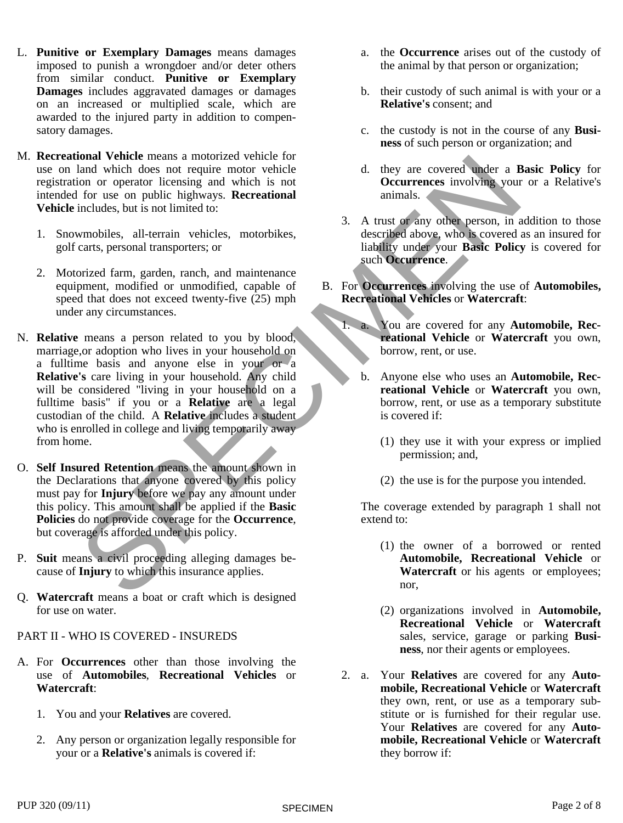- L. **Punitive or Exemplary Damages** means damages imposed to punish a wrongdoer and/or deter others from similar conduct. **Punitive or Exemplary Damages** includes aggravated damages or damages on an increased or multiplied scale, which are awarded to the injured party in addition to compensatory damages.
- M. **Recreational Vehicle** means a motorized vehicle for use on land which does not require motor vehicle registration or operator licensing and which is not intended for use on public highways. **Recreational Vehicle** includes, but is not limited to:
	- 1. Snowmobiles, all-terrain vehicles, motorbikes, golf carts, personal transporters; or
	- 2. Motorized farm, garden, ranch, and maintenance equipment, modified or unmodified, capable of speed that does not exceed twenty-five (25) mph under any circumstances.
- ional Vehicle means a notorized vehicle for<br>
ind which does not require motor vehicle to the determinant of the coverage simulation to the coverage of the specific intervention of the specific specific state of the specifi N. **Relative** means a person related to you by blood, marriage, or adoption who lives in your household on a fulltime basis and anyone else in your or a **Relative's** care living in your household. Any child will be considered "living in your household on a fulltime basis" if you or a **Relative** are a legal custodian of the child. A **Relative** includes a student who is enrolled in college and living temporarily awayfrom home.
- O. **Self Insured Retention** means the amount shown in the Declarations that anyone covered by this policy must pay for **Injury** before we pay any amount under this policy. This amount shall be applied if the **Basic Policies** do not provide coverage for the **Occurrence**, but coverage is afforded under this policy.
- P. **Suit** means a civil proceeding alleging damages because of **Injury** to which this insurance applies.
- Q. **Watercraft** means a boator craft which is designed for use on water.
- PART II WHO IS COVERED INSUREDS
- A. For **Occurrences** other than those involving the use of **Automobiles**, **Recreational Vehicles** or **Watercraft**:
	- 1. You and your **Relatives** are covered.
	- 2. Any person or organization legally responsible for your or a **Relative's** animals is covered if:
- a. the **Occurrence** arises out of the custody of the animal by that person or organization;
- b. their custody of such animal is with your or a **Relative's** consent; and
- c. the custody is not in the course of any **Business** of such person or organization; and
- d. they are covered under a **Basic Policy** for **Occurrences** involving your or a Relative's animals.
- 3. A trust or any other person, in addition to those described above, who is covered as an insured for liability under your **Basic Policy** is covered for such **Occurrence**.
- B. For **Occurrences** involving the use of **Automobiles, Recreational Vehicles** or **Watercraft**:
	- 1. a. You are covered for any **Automobile, Recreational Vehicle** or **Watercraft** you own, borrow, rent, or use.
		- b. Anyone else who uses an **Automobile, Recreational Vehicle** or **Watercraft** you own, borrow, rent, or use as a temporary substitute is covered if:
			- (1) they use it with your express or implied permission; and,
			- (2) the use is for the purpose you intended.

The coverage extended by paragraph 1 shall not extend to:

- (1) the owner of a borrowed or rented **Automobile, Recreational Vehicle** or **Watercraft** or his agents or employees; nor,
- (2) organizations involved in **Automobile, Recreational Vehicle** or **Watercraft** sales, service, garage or parking **Business**, nor their agents or employees.
- 2. a. Your **Relatives** are covered for any **Automobile, Recreational Vehicle** or **Watercraft** they own, rent, or use as a temporary substitute or is furnished for their regular use. Your **Relatives** are covered for any **Automobile, Recreational Vehicle** or **Watercraft** they borrow if: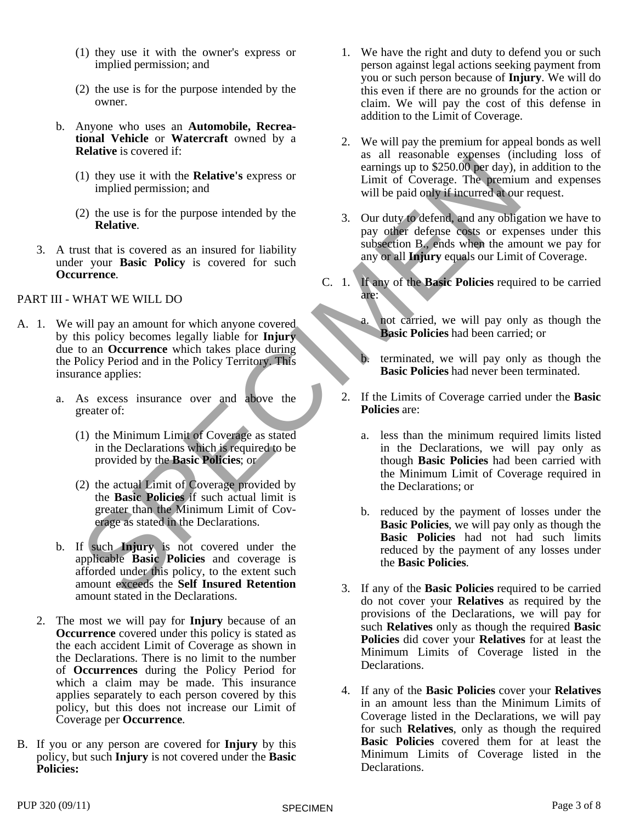- (1) they use it with the owner's express or implied permission; and
- (2) the use is for the purpose intended by the owner.
- b. Anyone who uses an **Automobile, Recreational Vehicle** or **Watercraft** owned by a **Relative** is covered if:
	- (1) they use it with the **Relative's** express or implied permission; and
	- (2) the use is for the purpose intended by the **Relative**.
- 3. A trust that is covered as an insured for liability under your **Basic Policy** is covered for such **Occurrence**.

#### PART III - WHAT WE WILL DO

- A. 1. We will pay an amount for which anyone covered by this policy becomes legally liable for **Injury** due to an **Occurrence** which takes place during the Policy Period and in the Policy Territory. This insurance applies:
	- a. As excess insurance over and above the greater of:
		- (1) the Minimum Limit of Coverage as stated in the Declarations which is required to be provided by the **Basic Policies**; or
		- (2) the actual Limit of Coverage provided by the **Basic Policies** if such actual limit is greater than the Minimum Limit of Coverage as stated in the Declarations.
	- b. If such **Injury** is not covered under the applicable **Basic Policies** and coverage is afforded under this policy, to the extent such amount exceeds the **Self Insured Retention** amount stated in the Declarations.
	- 2. The most we will pay for **Injury** because of an **Occurrence** covered under this policy is stated as the each accident Limit of Coverage as shown in the Declarations. There is no limit to the number of **Occurrences** during the Policy Period for which a claim may be made. This insurance applies separately to each person covered by this policy, but this does not increase our Limit of Coverage per **Occurrence**.
- B. If you or any person are covered for **Injury** by this policy, but such **Injury** is not covered under the **Basic Policies:**
- 1. We have the right and duty to defend you or such person against legal actions seeking payment from you or such person because of **Injury**. We will do this even if there are no grounds for the action or claim. We will pay the cost of this defense in addition to the Limit of Coverage.
- 2. We will pay the premium for appeal bonds as well as all reasonable expenses (including loss of earnings up to \$250.00 per day), in addition to the Limit of Coverage. The premium and expenses will be paid only if incurred at our request.
- 3. Our duty to defend, and any obligation we have to pay other defense costs or expenses under this subsection B., ends when the amount we pay for any or all **Injury** equals our Limit of Coverage.
- C. 1. If any of the **Basic Policies** required to be carried are:
	- not carried, we will pay only as though the **Basic Policies** had been carried; or
	- b. terminated, we will pay only as though the **Basic Policies** had never been terminated.
	- 2. If the Limits of Coverage carried under the **Basic Policies** are:
		- a. less than the minimum required limits listed in the Declarations, we will pay only as though **Basic Policies** had been carried with the Minimum Limit of Coverage required in the Declarations; or
- CONFIDENCIAL CONFIDENCIAL CONFIDENCIAL CONFIDENCIAL CONFIDENCIAL CONFIDENCIAL CONFIDENCIAL CONFIDENCIAL CONFIDENCIAL CONFIDENCIAL CONFIDENCIAL CONFIDENCIAL CONFIDENCIAL CONFIDENCIAL CONFIDENCIAL CONFIDENCIAL CONFIDENCIAL C b. reduced by the payment of losses under the **Basic Policies**, we will pay only as though the **Basic Policies** had not had such limits reduced by the payment of any losses under the **Basic Policies**.
	- 3. If any of the **Basic Policies** required to be carried do not cover your **Relatives** as required by the provisions of the Declarations, we will pay for such **Relatives** only as though the required **Basic Policies** did cover your **Relatives** for at least the Minimum Limits of Coverage listed in the Declarations.
	- 4. If any of the **Basic Policies** cover your **Relatives** in an amount less than the Minimum Limits of Coverage listed in the Declarations, we will pay for such **Relatives**, only as though the required **Basic Policies** covered them for at least the Minimum Limits of Coverage listed in the Declarations.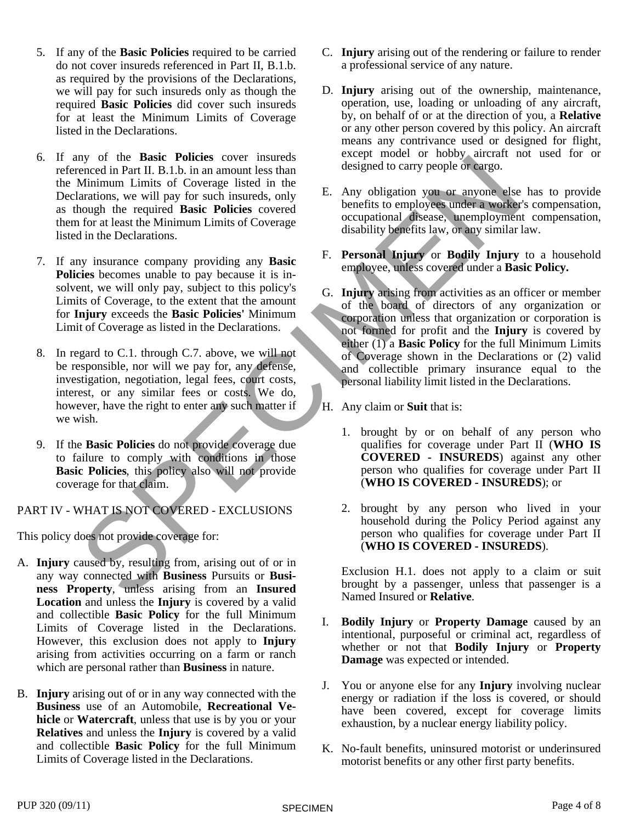- 5. If any of the **Basic Policies** required to be carried do not cover insureds referenced in Part II, B.1.b. as required by the provisions of the Declarations, we will pay for such insureds only as though the required **Basic Policies** did cover such insureds for at least the Minimum Limits of Coverage listed in the Declarations.
- 6. If any of the **Basic Policies** cover insureds referenced in Part II. B.1.b. in an amount less than the Minimum Limits of Coverage listed in the Declarations, we will pay for such insureds, only as though the required **Basic Policies** covered them for at least the Minimum Limits of Coverage listed in the Declarations.
- 7. If any insurance company providing any **Basic Policies** becomes unable to pay because it is insolvent, we will only pay, subject to this policy's Limits of Coverage, to the extent that the amount for **Injury** exceeds the **Basic Policies'** Minimum Limit of Coverage as listed in the Declarations.
- 8. In regard to C.1. through C.7. above, we will not be responsible, nor will we pay for, any defense, investigation, negotiation, legal fees, court costs, interest, or any similar fees or costs. We do, however, have the right to enter any such matter if we wish.
- 9. If the **Basic Policies** do not provide coverage due to failure to comply with conditions in those **Basic Policies**, this policy also will not provide coverage for that claim.

PART IV - WHAT IS NOT COVERED - EXCLUSIONS

This policy does not provide coverage for:

- A. **Injury** caused by, resulting from, arising out of or in any way connected with **Business** Pursuits or **Business Property**, unless arising from an **Insured Location** and unless the **Injury** is covered by a valid and collectible **Basic Policy** for the full Minimum Limits of Coverage listed in the Declarations. However, this exclusion does not apply to **Injury** arising from activities occurring on a farm or ranch which are personal rather than **Business** in nature.
- B. **Injury** arising out of or in any way connected with the **Business** use of an Automobile, **Recreational Vehicle** or **Watercraft**, unless that use is by you or your **Relatives** and unless the **Injury** is covered by a valid and collectible **Basic Policy** for the full Minimum Limits of Coverage listed in the Declarations.
- C. **Injury** arising out of the rendering or failure to render a professional service of any nature.
- D. **Injury** arising out of the ownership, maintenance, operation, use, loading or unloading of any aircraft, by, on behalf of or at the direction of you, a **Relative** or any other person covered by this policy. An aircraft means any contrivance used or designed for flight, except model or hobby aircraft not used for or designed to carry people or cargo.
- E. Any obligation you or anyone else has to provide benefits to employees under a worker's compensation, occupational disease, unemployment compensation, disability benefits law, or any similar law.
- F. **Personal Injury** or **Bodily Injury** to a household employee, unless covered under a **Basic Policy.**
- of the Basic Policies cover insured of the policies ( $\theta$  and  $\theta$  and  $\theta$  of the matter of the matter of the matter of the state in the coverage listed in the required the required to the pair of Coverage is the policie G. **Injury** arising from activities as an officer or member of the board of directors of any organization or corporation unless that organization or corporation is not formed for profit and the **Injury** is covered by either (1) a **Basic Policy** for the full Minimum Limits of Coverage shown in the Declarations or (2) valid and collectible primary insurance equal to the personal liability limit listed in the Declarations.
	- H. Any claim or **Suit** that is:
		- 1. brought by or on behalf of any person who qualifies for coverage under Part II (**WHO IS COVERED - INSUREDS**) against any other person who qualifies for coverage under Part II (**WHO IS COVERED - INSUREDS**); or
		- 2. brought by any person who lived in your household during the Policy Period against any person who qualifies for coverage under Part II (**WHO IS COVERED - INSUREDS**).

Exclusion H.1. does not apply to a claim or suit brought by a passenger, unless that passenger is a Named Insured or **Relative**.

- I. **Bodily Injury** or **Property Damage** caused by an intentional, purposeful or criminal act, regardless of whether or not that **Bodily Injury** or **Property Damage** was expected or intended.
- J. You or anyone else forany **Injury** involving nuclear energy or radiation if the loss is covered, or should have been covered, except for coverage limits exhaustion, by a nuclear energy liability policy.
- K. No-fault benefits, uninsured motorist or underinsured motorist benefits or any other first party benefits.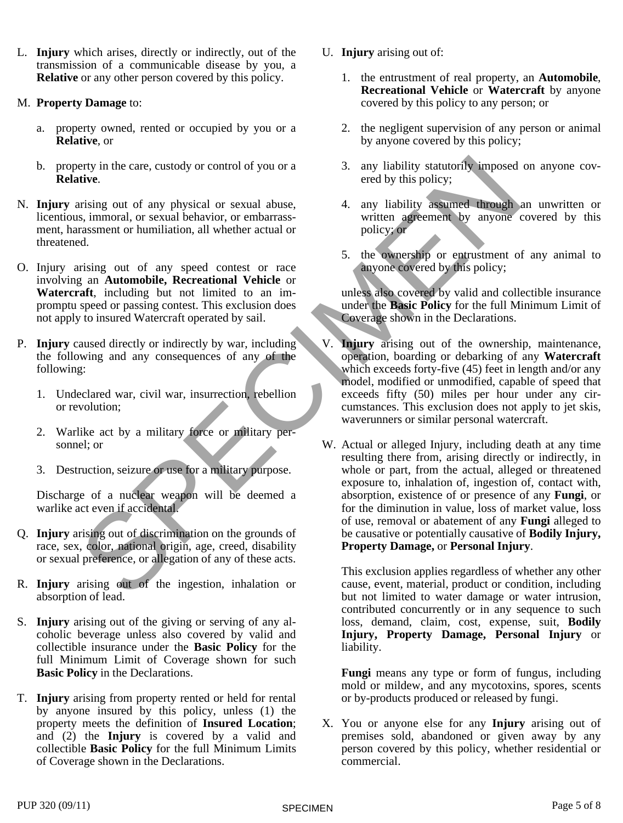- L. **Injury** which arises, directly or indirectly, out of the transmission of a communicable disease by you, a **Relative** or any other person covered by this policy.
- M. **Property Damage** to:
	- a. property owned, rented or occupied by you or a **Relative**, or
	- b. property in the care, custody or control of you or a **Relative**.
- N. **Injury** arising out of any physical or sexual abuse, licentious, immoral, or sexual behavior, or embarrassment, harassment or humiliation, all whether actual or threatened.
- O. Injury arising out of any speed contest or race involving an **Automobile, Recreational Vehicle** or **Watercraft**, including but not limited to an impromptu speed or passing contest. This exclusion does not apply to insured Watercraft operated by sail.
- P. **Injury** caused directly or indirectly by war, including the following and any consequences of any of the following:
	- 1. Undeclared war, civil war, insurrection, rebellion or revolution;
	- 2. Warlike act by a military force or military personnel; or
	- 3. Destruction, seizure or use for a military purpose.

Discharge of a nuclear weapon will be deemed a warlike act even if accidental.

- Q. **Injury** arising out of discrimination on the grounds of race, sex, color, national origin, age, creed, disability or sexual preference, or allegation of any of these acts.
- R. **Injury** arising out of the ingestion, inhalation or absorption of lead.
- S. **Injury** arising out of the giving or serving of any alcoholic beverage unless also covered by valid and collectible insurance under the **Basic Policy** for the full Minimum Limit of Coverage shown for such **Basic Policy** in the Declarations.
- T. **Injury** arising from property rented or held for rental by anyone insured by this policy, unless (1) the property meets the definition of **Insured Location**; and  $(2)$  the **Injury** is covered by a valid and collectible **Basic Policy** for the full Minimum Limits of Coverage shown in the Declarations.
- U. **Injury** arising out of:
	- 1. the entrustment of real property, an **Automobile**, **Recreational Vehicle** or **Watercraft** by anyone covered by this policy to any person; or
	- 2. the negligent supervision of any person or animal by anyone covered by this policy;
	- 3. any liability statutorily imposed on anyone covered by this policy;
	- 4. any liability assumed through an unwritten or written agreement by anyone covered by this policy; or
	- 5. the ownership or entrustment of any animal to anyone covered by this policy;

unless also covered by valid and collectible insurance under the **Basic Policy** for the full Minimum Limit of Coverage shown in the Declarations.

- V. **Injury** arising out of the ownership, maintenance, operation, boarding or debarking of any **Watercraft** which exceeds forty-five (45) feet in length and/or any model, modified or unmodified, capable of speed that exceeds fifty (50) miles per hour under any circumstances. This exclusion does not apply to jet skis, waverunners or similar personal watercraft.
- Section and the care, custody or control of you or a<br>
string out of any physical or sexual abuse.<br>
S. S. immoral, or sexual behavior, or embarrass-<br>
string out of any physical or sexual behavior, or embarrass-<br>
string out W. Actual or alleged Injury, including death at any time resulting there from, arising directly or indirectly, in whole or part, from the actual, alleged or threatened exposure to, inhalation of, ingestion of, contact with, absorption, existence of or presence of any **Fungi**, or for the diminution in value, loss of market value, loss of use, removal or abatement of any **Fungi** alleged to be causative or potentially causative of **Bodily Injury, Property Damage,** or **Personal Injury**.

This exclusion applies regardless of whether any other cause, event, material, product or condition, including but not limited to water damage or water intrusion, contributed concurrently or in any sequence to such loss, demand, claim, cost, expense, suit, **Bodily Injury, Property Damage, Personal Injury** or liability.

**Fungi** means any type or form of fungus, including mold or mildew, and any mycotoxins, spores, scents or by-products produced or released by fungi.

X. You or anyone else for any **Injury** arising out of premises sold, abandoned or given away by any person covered by this policy, whether residential or commercial.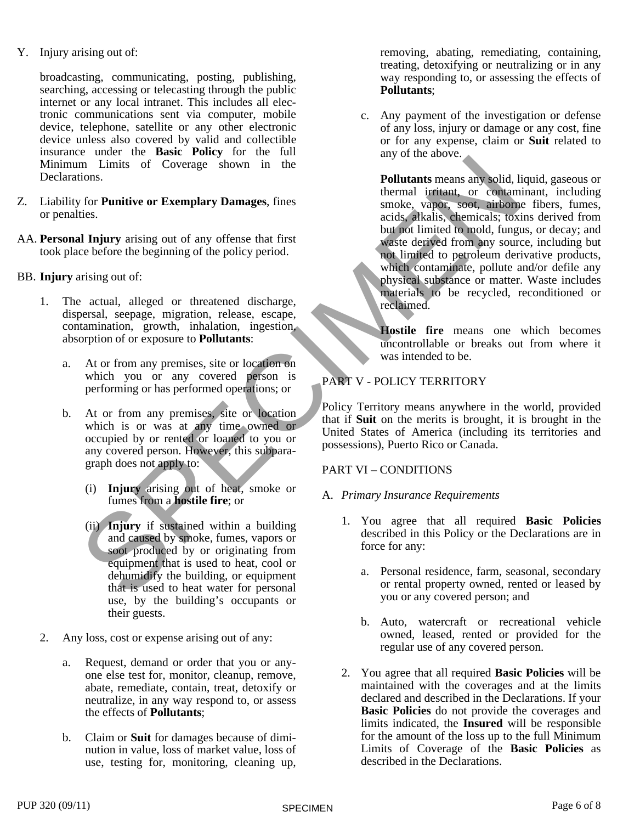Y. Injury arising out of:

broadcasting, communicating, posting, publishing, searching, accessing or telecasting through the public internet or any local intranet. This includes all electronic communications sent via computer, mobile device, telephone, satellite or any other electronic device unless also covered by valid and collectible insurance under the **Basic Policy** for the full Minimum Limits of Coverage shown in the Declarations.

- Z. Liability for **Punitive or Exemplary Damages**, fines or penalties.
- AA. **Personal Injury** arising out of any offense that first took place before the beginning of the policy period.
- BB. **Injury** arising out of:
	- 1. The actual, alleged or threatened discharge, dispersal, seepage, migration, release, escape, contamination, growth, inhalation, ingestion, absorption of orexposure to **Pollutants**:
		- a. At or from any premises, site or location on which you or any covered person is performing or has performed operations; or
		- b. At or from any premises, site or location which is or was at any time owned or occupied by or rented or loaned to you or any covered person. However, this subparagraph does not apply to:
			- (i) **Injury** arising out of heat, smoke or fumes from a **hostile fire**; or
			- (ii) **Injury** if sustained within a building and caused by smoke, fumes, vapors or soot produced by or originating from equipment that is used to heat, cool or dehumidify the building, or equipment that is used to heat water for personal use, by the building's occupants or their guests.
	- 2. Any loss, cost or expense arising out of any:
		- a. Request, demand or order that you or anyone else test for, monitor, cleanup, remove, abate, remediate, contain, treat, detoxify or neutralize, in any way respond to, or assess the effects of **Pollutants**;
		- b. Claim or **Suit** for damages because of diminution in value, loss of market value, loss of use, testing for, monitoring, cleaning up,

removing, abating, remediating, containing, treating, detoxifying or neutralizing or in any way responding to, or assessing the effects of **Pollutants**;

c. Any payment of the investigation or defense of any loss, injury or damage or any cost, fine or for any expense, claim or **Suit** related to any of the above.

Contains a state of the state of the state of the contains are stated in the state of the contains and the state of the policies and the state of the state of the state of the state of the state of the state of the state o **Pollutants** means any solid, liquid, gaseous or thermal irritant, or contaminant, including smoke, vapor, soot, airborne fibers, fumes, acids, alkalis, chemicals; toxins derived from but not limited to mold, fungus, or decay; and waste derived from any source, including but not limited to petroleum derivative products, which contaminate, pollute and/or defile any physical substance or matter. Waste includes materials to be recycled, reconditioned or reclaimed.

**Hostile fire** means one which becomes uncontrollable or breaks out from where it was intended to be.

# PART V - POLICY TERRITORY

Policy Territory means anywhere in the world, provided that if **Suit** on the merits is brought, it is brought in the United States of America (including its territories and possessions), Puerto Rico or Canada.

# PART VI – CONDITIONS

# A. *Primary Insurance Requirements*

- 1. You agree that all required **Basic Policies** described in this Policy or the Declarations are in force for any:
	- a. Personal residence, farm, seasonal, secondary or rental property owned, rented or leased by you or any covered person; and
	- b. Auto, watercraft or recreational vehicle owned, leased, rented or provided for the regular use of any covered person.
- 2. You agree that all required **Basic Policies** will be maintained with the coverages and at the limits declared and described in the Declarations. If your **Basic Policies** do not provide the coverages and limits indicated, the **Insured** will be responsible for the amount of the loss up to the full Minimum Limits of Coverage of the **Basic Policies** as described in the Declarations.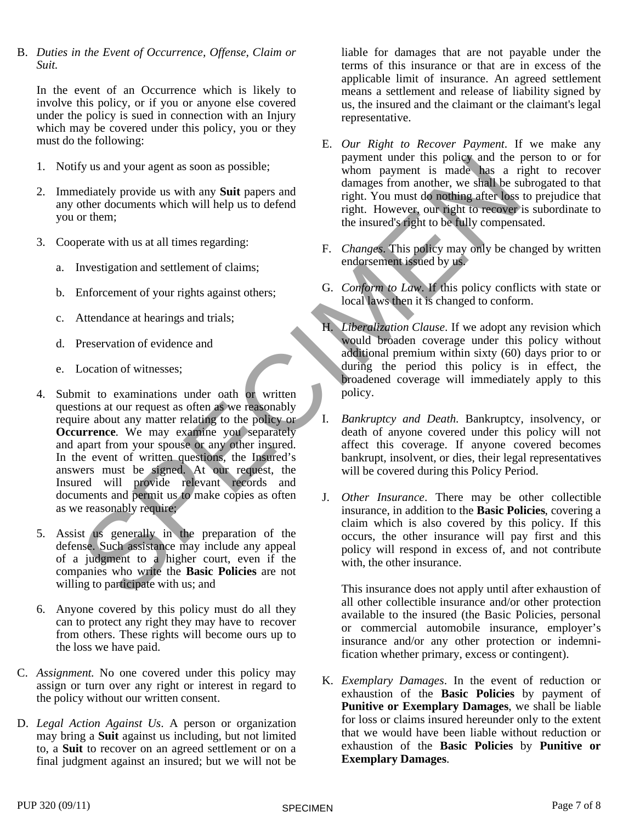B. *Duties in the Event of Occurrence, Offense, Claim or Suit.*

In the event of an Occurrence which is likely to involve this policy, or if you or anyone else covered under the policy is sued in connection with an Injury which may be covered under this policy, you or they must do the following:

- 1. Notify us and your agent as soon as possible;
- 2. Immediately provide us with any **Suit** papers and any other documents which will help us to defend you or them;
- 3. Cooperate with us at all times regarding:
	- a. Investigation and settlement of claims;
	- b. Enforcement of your rights against others;
	- c. Attendance at hearings and trials;
	- d. Preservation of evidence and
	- e. Location of witnesses;
- The state of cluster and the person to from the person to the the person to the control of the counter to the state of the state of the state of the state of the state of the state of the state of the state of the state of 4. Submit to examinations under oath or written questions at our request as often as we reasonably<br>require about any matter relating to the policy or require about any matter relating to the policy or **Occurrence**. We may examine you separately and apart from your spouse or any other insured. In the event of written questions, the Insured's answers must be signed. At our request, the Insured will provide relevant records and documents and permit us to make copies as often as we reasonably require;
- 5. Assist us generally in the preparation of the defense. Such assistance may include any appeal of a judgment to a higher court, even if the companies who write the **Basic Policies** are not willing to participate with us; and
- 6. Anyone covered by this policy must do all they can to protect any right they may have to recover from others. These rights will become ours up to the loss we have paid.
- C. *Assignment*. No one covered under this policy may assign or turn over any right or interest in regard to the policy without our written consent.
- D. *Legal Action Against Us*. A person or organization may bring a **Suit** against us including, but not limited to, a **Suit** to recover on an agreed settlement or on a final judgment against an insured; but we will not be

liable for damages that are not payable under the terms of this insurance or that are in excess of the applicable limit of insurance. An agreed settlement means a settlement and release of liability signed by us, the insured and the claimant or the claimant's legal representative.

- E. *Our Right to Recover Payment*. If we make any payment under this policy and the person to or for whom payment is made has a right to recover damages from another, we shall be subrogated to that right. You must do nothing afterloss to prejudice that right. However, our right to recover is subordinate to the insured's right to be fully compensated.
- F. *Changes*. This policy may only be changed by written endorsement issued by us.
- G. *Conform to Law*. If this policy conflicts with state or local laws then it is changed to conform.
- H. *Liberalization Clause*. If we adopt any revision which would broaden coverage under this policy without additional premium within sixty (60) days prior to or during the period this policy is in effect, the broadened coverage will immediately apply to this policy.
- I. *Bankruptcy and Death*. Bankruptcy, insolvency, or death of anyone covered under this policy will not affect this coverage. If anyone covered becomes bankrupt, insolvent, or dies, their legal representatives will be covered during this Policy Period.
- J. *Other Insurance*. There may be other collectible insurance, in addition to the **Basic Policies**, covering a claim which is also covered by this policy. If this occurs, the other insurance will pay first and this policy will respond in excess of, and not contribute with, the other insurance.

This insurance does not apply until after exhaustion of all other collectible insurance and/or other protection available to the insured (the Basic Policies, personal or commercial automobile insurance, employer's insurance and/or any other protection or indemnification whether primary, excess or contingent).

K. *Exemplary Damages*. In the event of reduction or exhaustion of the **Basic Policies** by payment of **Punitive or Exemplary Damages**, we shall be liable for loss or claims insured hereunder only to the extent that we would have been liable without reduction or exhaustion of the **Basic Policies** by **Punitive or Exemplary Damages**.